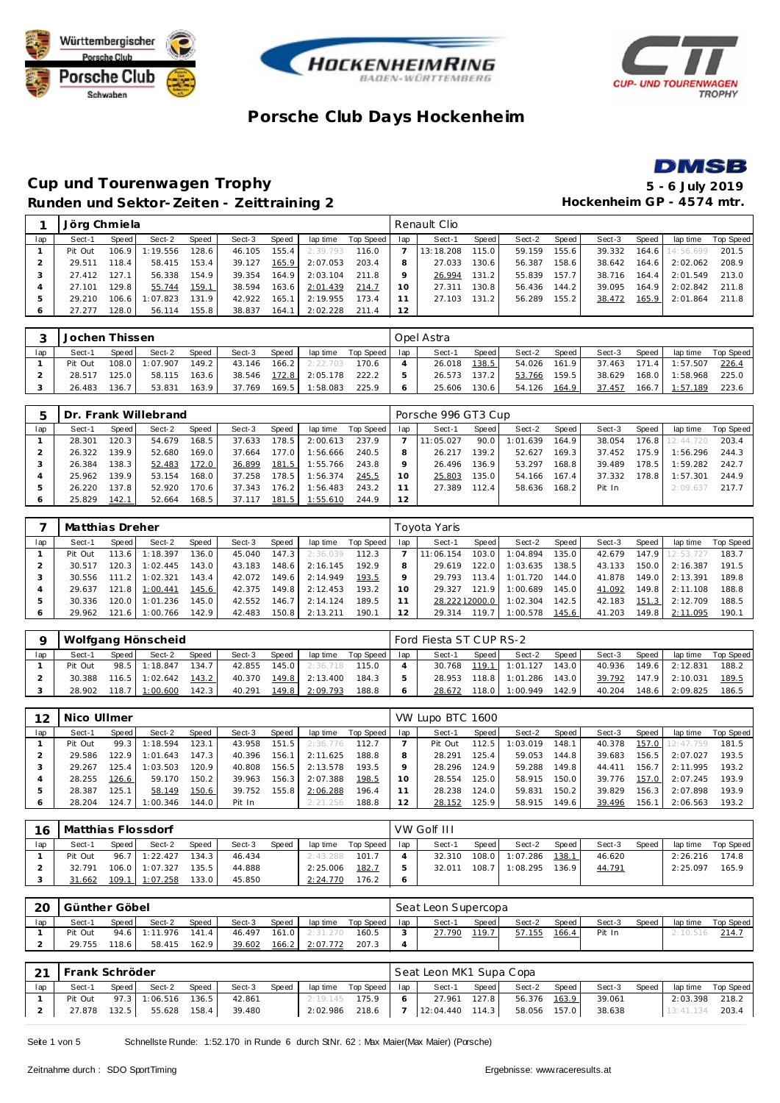







### **Cup und Tourenwagen Trophy 5 - 6 July 2019 Runden und Sektor-Zeiten - Zeittraining 2 Hockenheim GP - 4574 mtr.**

|         | Jörg Chmiela |       |         |       |        |       |          |           |     | Renault Clio |       |        |       |        |       |                 |           |
|---------|--------------|-------|---------|-------|--------|-------|----------|-----------|-----|--------------|-------|--------|-------|--------|-------|-----------------|-----------|
| lap     | Sect-1       | Speed | Sect-2  | Speed | Sect-3 | Speed | lap time | Top Speed | lap | Sect-1       | Speed | Sect-2 | Speed | Sect-3 | Speed | lap time        | Top Speed |
|         | Pit Out      | 106.9 | :19.556 | 128.6 | 46.105 | 155.4 | 2:39.793 | 116.0     |     | 13:18.208    | 115.0 | 59.159 | 155.6 | 39.332 |       | 164.6 14:56.699 | 201.5     |
|         | 29.511       | 118.4 | 58.415  | 153.4 | 39.127 | 165.9 | 2:07.053 | 203.4     |     | 27.033       | 130.6 | 56.387 | 158.6 | 38.642 | 164.6 | 2:02.062        | 208.9     |
| З       | 27.412       | 127.1 | 56.338  | 154.9 | 39.354 | 164.9 | 2:03.104 | 211.8     |     | 26.994       | 131.2 | 55.839 | 157.7 | 38.716 | 164.4 | 2:01.549        | 213.0     |
|         | 27.101       | 129.8 | 55.744  | 159.1 | 38.594 | 163.6 | 2:01.439 | 214.7     | 10  | 27.311       | 130.8 | 56.436 | 144.2 | 39.095 | 164.9 | 2:02.842        | 211.8     |
| 5       | 29.210       | 106.6 | :07.823 | 131.9 | 42.922 | 165.1 | 2:19.955 | 173.4     |     | 27.103       | 131.2 | 56.289 | 155.2 | 38.472 | 165.9 | 2:01.864        | 211.8     |
| $\circ$ | 27.277       | 128.0 | 56.114  | 155.8 | 38.837 | 164.1 | 2:02.228 | 211.4     | 12  |              |       |        |       |        |       |                 |           |

|     | Jochen Thissen |       |          |       |        |       |          |           |     | Opel Astra |       |        |         |        |       |          |           |
|-----|----------------|-------|----------|-------|--------|-------|----------|-----------|-----|------------|-------|--------|---------|--------|-------|----------|-----------|
| lap | Sect-1         | Speed | Sect-2   | Speed | Sect-3 | Speed | lap time | Top Speed | lap | Sect-1     | Speed | Sect-2 | Speed i | Sect-3 | Speed | lap time | Top Speed |
|     | Pit Out        | 108.0 | 1:07.907 | 149.2 | 43.146 | 166.2 | 2:22.703 | 170.6     |     | 26.018     | 138.5 | 54.026 | 161.9   | 37.463 | 171.4 | 1:57.507 | 226.4     |
|     | 28.517         | 125.0 | 58.115   | 163.6 | 38.546 | 172.8 | 2:05.178 | 222.2     |     | 26.573     | 137.2 | 53.766 | 159.5   | 38.629 | 168.0 | 1:58.968 | 225.0     |
|     | 26.483         | 136.7 | 53.831   | 163.9 | 37.769 | 169.5 | 1:58.083 | 225.9     |     | 25.606     | 130.6 | 54.126 | 164.9   | 37.457 | 166.7 | 1:57.189 | 223.6     |

|     |        |       | Dr. Frank Willebrand |        |        |       |          |           |     | Porsche 996 GT3 Cup |                    |          |         |        |       |           |           |
|-----|--------|-------|----------------------|--------|--------|-------|----------|-----------|-----|---------------------|--------------------|----------|---------|--------|-------|-----------|-----------|
| lap | Sect-1 | Speed | Sect-2               | Speed  | Sect-3 | Speed | lap time | Top Speed | lap | Sect-1              | Speed              | Sect-2   | Speed I | Sect-3 | Speed | lap time  | Top Speed |
|     | 28.301 | 120.3 | 54.679               | 168.5  | 37.633 | 78.5  | 2:00.613 | 237.9     |     | 11:05.027           | 90.0               | 1:01.639 | 164.9   | 38.054 | 176.8 | 12:44.720 | 203.4     |
|     | 26.322 | 139.9 | 52.680               | 169.0  | 37.664 | 177.0 | 1:56.666 | 240.5     |     | 26.217              | 139.2 <sub>1</sub> | 52.627   | 169.3   | 37.452 | 175.9 | 1:56.296  | 244.3     |
|     | 26.384 | 138.3 | 52.483               | 172.0  | 36.899 | 181.5 | 1:55.766 | 243.8     |     | 26.496              | 136.9              | 53.297   | 168.8   | 39.489 | 178.5 | 1:59.282  | 242.7     |
|     | 25.962 | 139.9 | 53.154               | 168.01 | 37.258 | 78.5  | 1:56.374 | 245.5     | 10  | 25.803              | 135.0              | 54.166   | 167.4   | 37.332 | 178.8 | 1:57.301  | 244.9     |
|     | 26.220 | 137.8 | 52.920               | 170.6  | 37.343 | 176.2 | 1:56.483 | 243.2     | 11  | 27.389              | 112.4              | 58.636   | 168.2   | Pit In |       | 2:09.637  | 217.7     |
|     | 25.829 | 142.1 | 52.664               | 168.5  | 37.117 | 181.5 | 1:55.610 | 244.9     | 12  |                     |                    |          |         |        |       |           |           |

|     | Matthias Dreher |       |          |        |        |       |          |           |     | Toyota Yaris  |       |          |       |        |       |           |           |
|-----|-----------------|-------|----------|--------|--------|-------|----------|-----------|-----|---------------|-------|----------|-------|--------|-------|-----------|-----------|
| lap | Sect-1          | Speed | Sect-2   | Speed  | Sect-3 | Speed | lap time | Top Speed | lap | Sect-1        | Speed | Sect-2   | Speed | Sect-3 | Speed | lap time  | Top Speed |
|     | Pit Out         | 113.6 | : 18.397 | 136.0. | 45.040 | 147.3 | 2:36.039 | 112.3     |     | 11:06.154     | 103.0 | 1:04.894 | 135.0 | 42.679 | 147.9 | 12:53.727 | 183.7     |
|     | 30.517          | 120.3 | : 02.445 | 143.0  | 43.183 | 148.6 | 2:16.145 | 192.9     |     | 29.619        | 122.0 | 1:03.635 | 138.5 | 43.133 | 150.0 | 2:16.387  | 191.5     |
|     | 30.556          | 111.2 | : 02.321 | 143.4  | 42.072 | 149.6 | 2:14.949 | 193.5     |     | 29.793        | 113.4 | 1:01.720 | 144.0 | 41.878 | 149.0 | 2:13.391  | 189.8     |
|     | 29.637          | 121.8 | 1:00.441 | 145.6  | 42.375 | 149.8 | 2:12.453 | 193.2     | 10  | 29.327        | 121.9 | 1:00.689 | 145.0 | 41.092 | 149.8 | 2:11.108  | 188.8     |
| -5  | 30.336          | 120.0 | : 01.236 | 145.0  | 42.552 | 146.7 | 2:14.124 | 189.5     |     | 28.22212000.0 |       | 1:02.304 | 142.5 | 42.183 | 151.3 | 2:12.709  | 188.5     |
| O   | 29.962          | 121.6 | : 00.766 | 142.9  | 42.483 | 150.8 | 2:13.211 | 190.1     |     | 29.314        | 119.7 | 1:00.578 | 145.6 | 41.203 | 149.8 | 2:11.095  | 190.1     |

|     |         |       | Wolfgang Hönscheid |       |        |       |          |           |     | Ford Fiesta ST CUP RS-2 |       |                |       |        |       |                |           |
|-----|---------|-------|--------------------|-------|--------|-------|----------|-----------|-----|-------------------------|-------|----------------|-------|--------|-------|----------------|-----------|
| lap | Sect-1  | Speed | Sect-2             | Speed | Sect-3 | Speed | lap time | Top Speed | lan | Sect-1                  | Speed | Sect-2         | Speed | Sect-3 | Speed | lap time       | Top Speed |
|     | Pit Out |       | 98.5 1:18.847      | 134.7 | 42.855 | 145.0 | 2:36.718 | 115.0     |     | 30.768                  |       | 119.1 1:01.127 | 143.0 | 40.936 |       | 149.6 2:12.831 | 188.2     |
|     | 30.388  |       | $116.5$ 1:02.642   | 143.2 | 40.370 | 149.8 | 2:13.400 | 184.3     |     | 28.953                  | 118.8 | 1:01.286       | 143.0 | 39.792 |       | 147.9 2:10.031 | 189.5     |
|     | 28.902  | 118.7 | 1:00.600           | 142.3 | 40.291 | 149.8 | 2:09.793 | 188.8     |     | 28.672                  | 118.0 | 1:00.949       | 142.9 | 40.204 |       | 148.6 2:09.825 | 186.5     |

| 12      | Nico Ullmer |       |          |       |        |       |          |           |         | VW Lupo BTC 1600 |       |          |         |        |       |           |           |
|---------|-------------|-------|----------|-------|--------|-------|----------|-----------|---------|------------------|-------|----------|---------|--------|-------|-----------|-----------|
| lap     | Sect-1      | Speed | Sect-2   | Speed | Sect-3 | Speed | lap time | Top Speed | lap     | Sect-1           | Speed | Sect-2   | Speed   | Sect-3 | Speed | lap time  | Top Speed |
|         | Pit Out     | 99.3  | 1:18.594 | 123.1 | 43.958 | 151.5 | 2:36.776 | 112.7     |         | Pit Out          | 112.5 | 1:03.019 | 148.1   | 40.378 | 157.0 | 12:47.759 | 181.5     |
|         | 29.586      | 122.9 | 1:01.643 | 147.3 | 40.396 | 156.1 | 2:11.625 | 188.8     |         | 28.291           | 125.4 | 59.053   | 144.8   | 39.683 | 156.5 | 2:07.027  | 193.5     |
|         | 29.267      | 125.4 | : 03.503 | 120.9 | 40.808 | 156.5 | 2:13.578 | 193.5     |         | 28.296           | 124.9 | 59.288   | 149.8   | 44.411 | 156.7 | 2:11.995  | 193.2     |
|         | 28.255      | 126.6 | 59.170   | 150.2 | 39.963 | 156.3 | 2:07.388 | 198.5     | $10-10$ | 28.554           | 125.0 | 58.915   | 150.0   | 39.776 | 157.0 | 2:07.245  | 193.9     |
|         | 28.387      | 125.1 | 58.149   | 150.6 | 39.752 | 155.8 | 2:06.288 | 196.4     |         | 28.238           | 124.0 | 59.831   | 150.2   | 39.829 | 156.3 | 2:07.898  | 193.9     |
| $\circ$ | 28.204      | 124.7 | 1:00.346 | 144.0 | Pit In |       | 2:21.256 | 188.8     |         | 28.152           | 125.9 | 58.915   | 149.6 l | 39.496 | 156.1 | 2:06.563  | 193.2     |

| 16  | Matthias Flossdorf<br>Speed<br>Speed<br>Sect-2<br>Sect-3<br>lap time<br>Speed<br>Sect-1<br>134.3<br>96.7 1:22.427<br>Pit Out<br>46.434<br>2:43.288<br>106.0 1:07.327<br>2:25.006<br>32.791 |  |                |       |        |  |          |           |     | VW Golf III |       |                |       |        |       |          |           |
|-----|--------------------------------------------------------------------------------------------------------------------------------------------------------------------------------------------|--|----------------|-------|--------|--|----------|-----------|-----|-------------|-------|----------------|-------|--------|-------|----------|-----------|
| lap |                                                                                                                                                                                            |  |                |       |        |  |          | Top Speed | lap | Sect-1      | Speed | Sect-2         | Speed | Sect-3 | Speed | lap time | Top Speed |
|     |                                                                                                                                                                                            |  |                |       |        |  |          | 101.7     |     | 32.310      |       | 108.0 1:07.286 | 138.1 | 46.620 |       | 2:26.216 | 174.8     |
|     |                                                                                                                                                                                            |  |                | 135.5 | 44.888 |  |          | 182.7     |     | 32.011      | 108.7 | 1:08.295       | 136.9 | 44.791 |       | 2:25.097 | 165.9     |
|     | 31.662                                                                                                                                                                                     |  | 109.1 1:07.258 | 133.0 | 45.850 |  | 2:24.770 | 176.2     |     |             |       |                |       |        |       |          |           |

| 20  | Günther Göbel |       |               |       |        |       |          |           |     | Seat Leon Supercopa |                    |        |       |        |       |          |           |
|-----|---------------|-------|---------------|-------|--------|-------|----------|-----------|-----|---------------------|--------------------|--------|-------|--------|-------|----------|-----------|
| lap | Sect-1        | Speed | Sect-2        | Speed | Sect-3 | Speed | lap time | Top Speed | lap | Sect-1              | Speed I            | Sect-2 | Speed | Sect-3 | Speed | lap time | Top Speed |
|     | Pit Out       |       | 94.6 1:11.976 | 141.4 | 46.497 | 161.0 | 2:31.270 | 160.5     |     | 27.790              | 119.7 <sub>1</sub> | 57.155 | 166.4 | Pit In |       | 2:10.516 | 214.7     |
|     | 29.755        | 118.6 | 58.415        | 162.9 | 39.602 | 166.2 | 2:07.772 | 207.3     |     |                     |                    |        |       |        |       |          |           |

| 21  |        | Frank Schröder<br>laptime Top Speed lap<br>Speed<br>Speed  <br>Speed<br>Sect-2<br>Sect-3<br>Sect-1<br>97.3 1:06.516 136.5<br>2:19.145 175.9<br>Pit Out<br>42.861 |        |       |        |  |  |  |                | Seat Leon MK1 Supa Copa                       |                           |        |       |                          |                    |
|-----|--------|------------------------------------------------------------------------------------------------------------------------------------------------------------------|--------|-------|--------|--|--|--|----------------|-----------------------------------------------|---------------------------|--------|-------|--------------------------|--------------------|
| lap |        |                                                                                                                                                                  |        |       |        |  |  |  |                | Sect-1 Speed                                  | Sect-2 Speed              | Sect-3 | Speed |                          | lap time Top Speed |
|     |        |                                                                                                                                                                  |        |       |        |  |  |  | 6 <sup>1</sup> |                                               | 27.961 127.8 56.376 163.9 | 39.061 |       |                          | 2:03.398 218.2     |
|     | 27.878 | 132.5                                                                                                                                                            | 55.628 | 158.4 | 39.480 |  |  |  |                | 2:02.986 218.6 7 12:04.440 114.3 58.056 157.0 |                           | 38.638 |       | $13:41.134$ <b>203.4</b> |                    |

Seite 1 von 5 Schnellste Runde: 1:52.170 in Runde 6 durch StNr. 62 : Max Maier(Max Maier) (Porsche)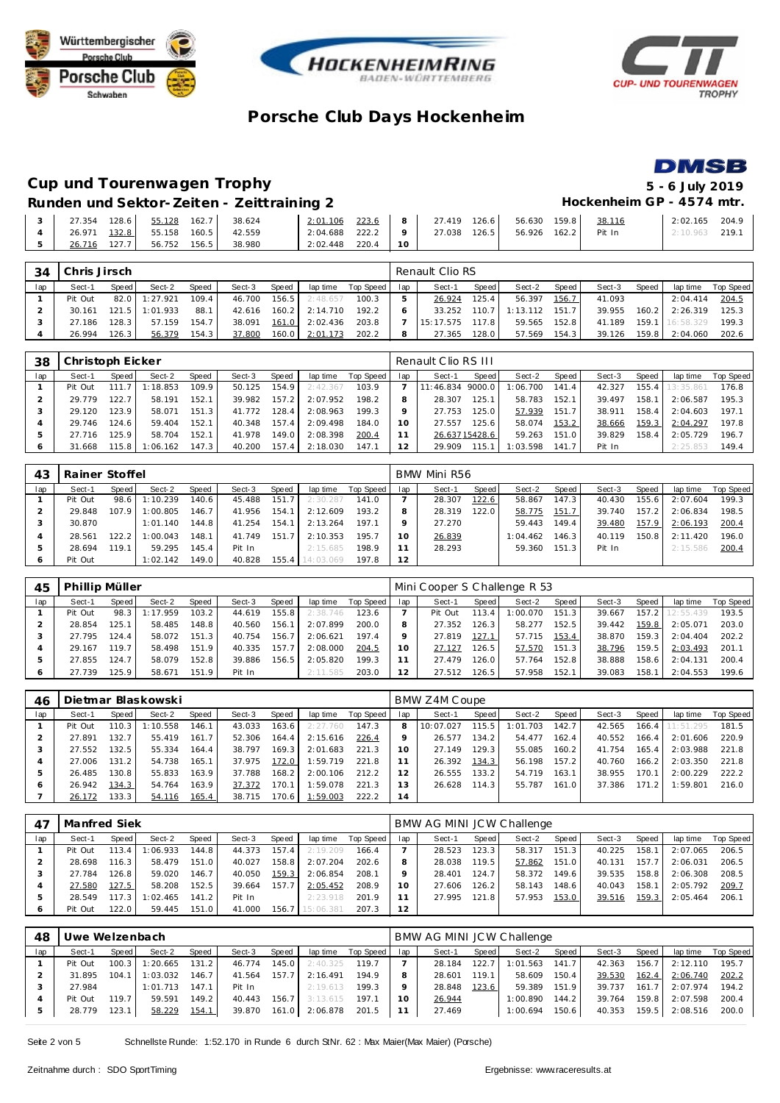







#### **Cup und Tourenwagen Trophy 5 - 6 July 2019 Runden und Sektor-Zeiten - Zeittraining 2 Hockenheim GP - 4574 mtr.**

|                |                                    |  | RUIDEII UNU SEKIOI-ZEITEN-ZEITTIJUID Z |                                                           |  |  |  | TIUL REILIGIII UT = 4J / 4 IIIU . |                  |  |
|----------------|------------------------------------|--|----------------------------------------|-----------------------------------------------------------|--|--|--|-----------------------------------|------------------|--|
|                |                                    |  |                                        |                                                           |  |  |  |                                   | 2:02.165 204.9   |  |
|                | 4 26.971 132.8 55.158 160.5 42.559 |  |                                        | 2:04.688 222.2   9   27.038 126.5   56.926 162.2   Pit In |  |  |  |                                   | $2:10.963$ 219.1 |  |
| 5 <sub>1</sub> | 26.716 127.7 56.752 156.5 38.980   |  |                                        | $2:02.448$ 220.4 10                                       |  |  |  |                                   |                  |  |

| 34  | Chris Jirsch |       |          |       |        |       |          |           |     | Renault Clio RS |       |          |       |        |        |            |                  |
|-----|--------------|-------|----------|-------|--------|-------|----------|-----------|-----|-----------------|-------|----------|-------|--------|--------|------------|------------------|
| lap | Sect-1       | Speed | Sect-2   | Speed | Sect-3 | Speed | lap time | Top Speed | lap | Sect-1          | Speed | Sect-2   | Speed | Sect-3 | Speed  | lap time   | <b>Top Speed</b> |
|     | Pit Out      | 82.0  | 1:27.921 | 109.4 | 46.700 | 156.5 | 2:48.657 | 100.3     |     | 26.924          | 125.4 | 56.397   | 156.7 | 41.093 |        | 2:04.414   | 204.5            |
|     | 30.161       | 121.5 | 1:01.933 | 88.   | 42.616 | 160.2 | 2:14.710 | 192.2     |     | 33.252          | 110.7 | 1:13.112 | 151.7 | 39.955 | 160.2  | 2:26.319   | 125.3            |
|     | 27.186       | 128.3 | 57.159   | 154.7 | 38.091 | 161.0 | 2:02.436 | 203.8     |     | 15:17.575       | 117.8 | 59.565   | 152.8 | 41.189 | 159.1  | 116:58.329 | 199.3            |
|     | 26.994       | 126.3 | 56.379   | 154.3 | 37.800 | 160.0 | 2:01.173 | 202.2     | 8   | 27.365          | 128.0 | 57.569   | 154.3 | 39.126 | 159.81 | 2:04.060   | 202.6            |

| 38      | Christoph Eicker |       |          |       |        |       |          |           |     | Renault Clio RS III |               |          |                       |        |       |           |           |
|---------|------------------|-------|----------|-------|--------|-------|----------|-----------|-----|---------------------|---------------|----------|-----------------------|--------|-------|-----------|-----------|
| lap     | Sect-1           | Speed | Sect-2   | Speed | Sect-3 | Speed | lap time | Top Speed | lap | Sect-1              | Speed         | Sect-2   | Speed                 | Sect-3 | Speed | lap time  | Top Speed |
|         | Pit Out          | 111.7 | : 18.853 | 109.9 | 50.125 | 154.9 | 2:42.367 | 103.9     |     | 11:46.834           | 9000.0        | 1:06.700 | 141.4                 | 42.327 | 155.4 | 13:35.861 | 176.8     |
|         | 29.779           | 122.7 | 58.191   | 152.1 | 39.982 | 157.2 | 2:07.952 | 198.2     |     | 28.307              | 125.1         | 58.783   | 152.1                 | 39.497 | 158.1 | 2:06.587  | 195.3     |
|         | 29.120           | 123.9 | 58.071   | 151.3 | 41.772 | 128.4 | 2:08.963 | 199.3     |     | 27.753              | 125.0         | 57.939   | 151<br>7 <sub>1</sub> | 38.911 | 158.4 | 2:04.603  | 197.1     |
|         | 29.746           | 24.6  | 59.404   | 152.1 | 40.348 | 157.4 | 2:09.498 | 184.0     | 10  | 27.557              | 125.6         | 58.074   | 153.2                 | 38.666 | 159.3 | 2:04.297  | 197.8     |
|         | 27.716           | 125.9 | 58.704   | 152.1 | 41.978 | 149.0 | 2:08.398 | 200.4     |     |                     | 26.63715428.6 | 59.263   | 151.0                 | 39.829 | 158.4 | 2:05.729  | 196.7     |
| $\circ$ | 31.668           | 15.8  | :06.162  | 147.3 | 40.200 | 157.4 | 2:18.030 | 147.1     | 12  | 29.909              | 115.1         | 1:03.598 | 141                   | Pit In |       | 2:25.853  | 149.4     |

| 43  | Rainer Stoffel |       |          |       |        |       |           |           |     | BMW Mini R56 |       |          |       |        |       |          |           |
|-----|----------------|-------|----------|-------|--------|-------|-----------|-----------|-----|--------------|-------|----------|-------|--------|-------|----------|-----------|
| lap | Sect-1         | Speed | Sect-2   | Speed | Sect-3 | Speed | lap time  | Top Speed | lap | Sect-1       | Speed | Sect-2   | Speed | Sect-3 | Speed | lap time | Top Speed |
|     | Pit Out        | 98.6  | :10.239  | 140.6 | 45.488 | 151.7 | 2:30.287  | 141.0     |     | 28.307       | 122.6 | 58.867   | 147.3 | 40.430 | 155.6 | 2:07.604 | 199.3     |
|     | 29.848         | 107.9 | : 00.805 | 146.7 | 41.956 | 154.1 | 2:12.609  | 193.2     | 8   | 28.319       | 122.0 | 58.775   | 151.7 | 39.740 | 157.2 | 2:06.834 | 198.5     |
|     | 30.870         |       | 1:01.140 | 144.8 | 41.254 | 154.1 | 2:13.264  | 197.1     |     | 27.270       |       | 59.443   | 149.4 | 39.480 | 157.9 | 2:06.193 | 200.4     |
|     | 28.561         | 122.2 | : 00.043 | 148.1 | 41.749 | 151.7 | 2:10.353  | 195.7     |     | 26.839       |       | 1:04.462 | 146.3 | 40.119 | 150.8 | 2:11.420 | 196.0     |
|     | 28.694         | 19.1  | 59.295   | 145.4 | Pit In |       | 2:15.685  | 198.9     |     | 28.293       |       | 59.360   | 151.3 | Pit In |       | 2:15.586 | 200.4     |
| O   | Pit Out        |       | 1:02.142 | 149.0 | 40.828 | 155.4 | 14:03.069 | 197.8     | 12  |              |       |          |       |        |       |          |           |

| 45  | Phillip Müller |         |          |       |        |       |          |           |         | Mini Cooper S Challenge R 53 |        |          |       |        |       |                 |           |
|-----|----------------|---------|----------|-------|--------|-------|----------|-----------|---------|------------------------------|--------|----------|-------|--------|-------|-----------------|-----------|
| lap | Sect-1         | Speed I | Sect-2   | Speed | Sect-3 | Speed | lap time | Top Speed | lap     | Sect-1                       | Speed  | Sect-2   | Speed | Sect-3 | Speed | lap time        | Top Speed |
|     | Pit Out        | 98.3    | 1:17.959 | 103.2 | 44.619 | 155.8 | 2:38.746 | 123.6     |         | Pit Out                      | 113.41 | : 00.070 | 151.3 | 39.667 |       | 157.2 12:55.439 | 193.5     |
|     | 28.854         | 125.1   | 58.485   | 148.8 | 40.560 | 156.1 | 2:07.899 | 200.0     | 8       | 27.352                       | 126.3  | 58.277   | 152.5 | 39.442 | 159.8 | 2:05.071        | 203.0     |
|     | 27.795         | 124.4   | 58.072   | 151.3 | 40.754 | 156.7 | 2:06.621 | 197.4     | $\circ$ | 27.819                       | 127.1  | 57.715   | 153.4 | 38.870 | 159.3 | 2:04.404        | 202.2     |
|     | 29.167         | 119.7   | 58.498   | 151.9 | 40.335 | 157.7 | 2:08,000 | 204.5     | 10      | 27.127                       | 126.5  | 57.570   | 151.3 | 38.796 | 159.5 | 2:03.493        | 201.7     |
|     | 27.855         | 124.7   | 58.079   | 152.8 | 39.886 | 156.5 | 2:05.820 | 199.3     |         | 27.479                       | 126.0  | 57.764   | 152.8 | 38.888 | 158.6 | 2:04.131        | 200.4     |
|     | 27.739         | 125.9   | 58.671   | 151.9 | Pit In |       | 2:11.585 | 203.0     | 12      | 27.512                       | 126.5  | 57.958   | 152.1 | 39.083 | 158.1 | 2:04.553        | 199.6     |

| 46      |         |       | Dietmar Blaskowski |       |        |       |          |           |     | BMW Z4M Coupe |                    |          |       |        |       |           |           |
|---------|---------|-------|--------------------|-------|--------|-------|----------|-----------|-----|---------------|--------------------|----------|-------|--------|-------|-----------|-----------|
| lap     | Sect-1  | Speed | Sect-2             | Speed | Sect-3 | Speed | lap time | Top Speed | lap | Sect-1        | Speed              | Sect-2   | Speed | Sect-3 | Speed | lap time  | Top Speed |
|         | Pit Out | 110.3 | :10.558            | 146.7 | 43.033 | 163.6 | 2:27.760 | 147.3     | 8   | 10:07.027     | 115.5              | 1:01.703 | 142.7 | 42.565 | 166.4 | 11:51.295 | 181.5     |
|         | 27.891  | 132.7 | 55.419             | 161.7 | 52.306 | 164.4 | 2:15.616 | 226.4     | Q   | 26.577        | 134.2              | 54.477   | 162.4 | 40.552 | 166.4 | 2:01.606  | 220.9     |
|         | 27.552  | 132.5 | 55.334             | 164.4 | 38.797 | 169.3 | 2:01.683 | 221.3     | 10  | 27.149        | 129.3 <sub>1</sub> | 55.085   | 160.2 | 41.754 | 165.4 | 2:03.988  | 221.8     |
|         | 27.006  | 131.2 | 54.738             | 165.7 | 37.975 | 172.0 | 1:59.719 | 221.8     |     | 26.392        | 134.3              | 56.198   | 157.2 | 40.760 | 166.2 | 2:03.350  | 221.8     |
|         | 26.485  | 130.8 | 55.833             | 163.9 | 37.788 | 168.2 | 2:00.106 | 212.2     | 12  | 26.555        | 133.2              | 54.719   | 163.1 | 38.955 | 170.1 | 2:00.229  | 222.2     |
| $\circ$ | 26.942  | 134.3 | 54.764             | 163.9 | 37.372 | 170.1 | 1:59.078 | 221.3     | 13  | 26.628        | 114.3              | 55.787   | 161.0 | 37.386 | 171.2 | 1:59.801  | 216.0     |
|         | 26.172  | 133.3 | 54.116             | 165.4 | 38.715 | 170.6 | 1:59.003 | 222.2     | 14  |               |                    |          |       |        |       |           |           |

|     | Manfred Siek |       |          |       |        |       |           |           |     | BMW AG MINI JCW Challenge |       |        |       |        |       |          |           |
|-----|--------------|-------|----------|-------|--------|-------|-----------|-----------|-----|---------------------------|-------|--------|-------|--------|-------|----------|-----------|
| lap | Sect-1       | Speed | Sect-2   | Speed | Sect-3 | Speed | lap time  | Top Speed | lap | Sect-1                    | Speed | Sect-2 | Speed | Sect-3 | Speed | lap time | Top Speed |
|     | Pit Out      | 113.4 | 1:06.933 | 144.8 | 44.373 | 157.4 | 2:19.209  | 166.4     |     | 28.523                    | 123.3 | 58.317 | 151.3 | 40.225 | 158.1 | 2:07.065 | 206.5     |
|     | 28.698       | 116.3 | 58.479   | 151.0 | 40.027 | 158.8 | 2:07.204  | 202.6     |     | 28.038                    | 119.5 | 57.862 | 151.0 | 40.131 | 157.7 | 2:06.031 | 206.5     |
|     | 27.784       | 126.8 | 59.020   | 146.7 | 40.050 | 159.3 | 2:06.854  | 208.1     |     | 28.401                    | 124.7 | 58.372 | 149.6 | 39.535 | 158.8 | 2:06.308 | 208.5     |
|     | 27.580       | 127.5 | 58.208   | 152.5 | 39.664 | 157.7 | 2:05.452  | 208.9     | 10  | 27.606                    | 126.2 | 58.143 | 148.6 | 40.043 | 158.1 | 2:05.792 | 209.7     |
|     | 28.549       | 117.3 | 1:02.465 | 141.2 | Pit In |       | 2:23.918  | 201.9     |     | 27.995                    | 121.8 | 57.953 | 153.0 | 39.516 | 159.3 | 2:05.464 | 206.7     |
|     | Pit Out      | 122.0 | 59.445   | 151.0 | 41.000 | 156.7 | 15:06.381 | 207.3     | 12  |                           |       |        |       |        |       |          |           |

| 48  | Jwe Welzenbach |                   |          |       |        |       |          |           |     | BMW AG MINI JCW Challenge |       |          |       |        |       |          |           |
|-----|----------------|-------------------|----------|-------|--------|-------|----------|-----------|-----|---------------------------|-------|----------|-------|--------|-------|----------|-----------|
| lap | Sect-1         | Speed             | Sect-2   | Speed | Sect-3 | Speed | lap time | Top Speed | lap | Sect-1                    | Speed | Sect-2   | Speed | Sect-3 | Speed | lap time | Top Speed |
|     | Pit Out        | $100.3 \text{ L}$ | 1:20.665 | 131.2 | 46.774 | 145.0 | 2:40.325 | 1197      |     | 28.184                    | 122.7 | 1:01.563 | 141.7 | 42.363 | 156.7 | 2:12.110 | 195.7     |
|     | 31.895         | 104.1             | 1:03.032 | 146.7 | 41.564 | 157.7 | 2:16.491 | 194.9     |     | 28.601                    | 119.1 | 58.609   | 150.4 | 39.530 | 162.4 | 2:06.740 | 202.2     |
|     | 27.984         |                   | 1:01.713 | 147.1 | Pit In |       | 2:19.613 | 199.3     |     | 28.848                    | 123.6 | 59.389   | 151.9 | 39.737 | 161.7 | 2:07.974 | 194.2     |
|     | Pit Out        | 119.71            | 59.591   | 149.2 | 40.443 | 156.7 | 3:13.615 | 197.1     |     | 26.944                    |       | 1:00.890 | 144.2 | 39.764 | 159.8 | 2:07.598 | 200.4     |
|     | 28.779         | 123.1             | 58.229   | 154.1 | 39.870 | 161.0 | 2:06.878 | 201.5     |     | 27.469                    |       | 1:00.694 | 150.6 | 40.353 | 159.5 | 2:08.516 | 200.0     |

Seite 2 von 5 Schnellste Runde: 1:52.170 in Runde 6 durch StNr. 62 : Max Maier(Max Maier) (Porsche)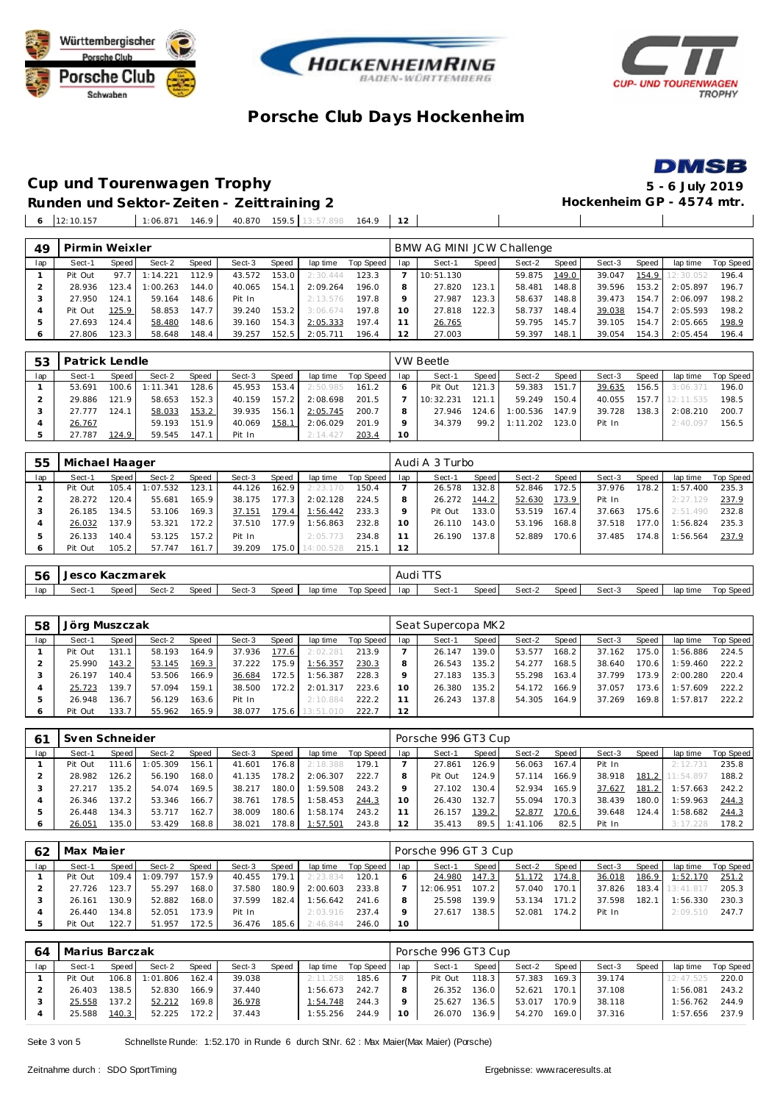







# **Cup und Tourenwagen Trophy 5 - 6 July 2019**

Runden und Sektor-Zeiten - Zeittraining 2 **Beiter and Sektor-Zeiten - Zeittraining 2 Hockenheim GP** - 4574 mtr.

12:10.157 1:06.871 146.9 40.870 159.5 13:57.898 164.9 **12**

| 49      | Pirmin Weixler |        |          |       |        |       |          |           |     | BMW AG MINI JCW Challenge |       |        |       |        |       |          |           |
|---------|----------------|--------|----------|-------|--------|-------|----------|-----------|-----|---------------------------|-------|--------|-------|--------|-------|----------|-----------|
| lap     | Sect-1         | Speed  | Sect-2   | Speed | Sect-3 | Speed | lap time | Top Speed | lap | Sect-1                    | Speed | Sect-2 | Speed | Sect-3 | Speed | lap time | Top Speed |
|         | Pit Out        | 97.7   | 1:14.221 | 112.9 | 43.572 | 153.0 | 2:30.444 | 123.3     |     | 10:51.130                 |       | 59.875 | 149.0 | 39.047 | 154.9 | 2:30.052 | 196.4     |
|         | 28.936         | 123.4  | :00.263  | 144.0 | 40.065 | 154.1 | 2:09.264 | 196.0     | 8   | 27.820                    | 123.1 | 58.481 | 148.8 | 39.596 | 153.2 | 2:05.897 | 196.7     |
|         | 27.950         | 124.   | 59.164   | 148.6 | Pit In |       | 2:13.576 | 197.8     | Q   | 27.987                    | 123.3 | 58.637 | 148.8 | 39.473 | 154.7 | 2:06.097 | 198.2     |
| 4       | Pit Out        | 125.9  | 58.853   | 147.7 | 39.240 | 153.2 | 3:06.674 | 197.8     | 10  | 27.818                    | 122.3 | 58.737 | 148.4 | 39.038 | 154.7 | 2:05.593 | 198.2     |
| ь       | 27.693         | 124.4. | 58.480   | 148.6 | 39.160 | 154.3 | 2:05.333 | 197.4     |     | 26.765                    |       | 59.795 | 145.7 | 39.105 | 154.7 | 2:05.665 | 198.9     |
| $\circ$ | 27.806         | 123.3  | 58.648   | 148.4 | 39.257 | 152.5 | 2:05.711 | 196.4     | 12  | 27.003                    |       | 59.397 | 148.1 | 39.054 | 154.3 | 2:05.454 | 196.4     |
|         |                |        |          |       |        |       |          |           |     |                           |       |        |       |        |       |          |           |

| 53  |        | Patrick Lendle<br>Speed<br>Sect-2<br>Speed<br>Speed<br>Sect-3<br>lap time<br>100.6<br>128.6<br>153.4<br>1:11.341<br>45.953<br>2:50.985<br>152.3<br>121.9<br>58.653<br>157.2<br>2:08.698<br>40.159 |        |       |        |       |          |           |                 | VW Beetle |         |          |       |        |       |           |           |
|-----|--------|---------------------------------------------------------------------------------------------------------------------------------------------------------------------------------------------------|--------|-------|--------|-------|----------|-----------|-----------------|-----------|---------|----------|-------|--------|-------|-----------|-----------|
| lap | Sect-1 |                                                                                                                                                                                                   |        |       |        |       |          | Top Speed | lap             | Sect-1    | Speed I | Sect-2   | Speed | Sect-3 | Speed | lap time  | Top Speed |
|     | 53.691 |                                                                                                                                                                                                   |        |       |        |       |          | 161.2     |                 | Pit Out   | 121.3   | 59.383   | 151.7 | 39.635 | 156.5 | 3:06.371  | 196.0     |
|     | 29.886 |                                                                                                                                                                                                   |        |       |        |       |          | 201.5     |                 | 10:32.231 | 121.11  | 59.249   | 150.4 | 40.055 | 157.7 | 12:11.535 | 198.5     |
|     | 27.777 | 124.1                                                                                                                                                                                             | 58.033 | 153.2 | 39.935 | 156.1 | 2:05.745 | 200.7     |                 | 27.946    | 124.6   | 1:00.536 | 147.9 | 39.728 | 138.3 | 2:08.210  | 200.7     |
|     | 26.767 |                                                                                                                                                                                                   | 59.193 | 151.9 | 40.069 | 158.1 | 2:06.029 | 201.9     |                 | 34.379    | 99.2    | 1:11.202 | 123.0 | Pit In |       | 2:40.097  | 156.5     |
|     | 27.787 | 124.9                                                                                                                                                                                             | 59.545 | 147.1 | Pit In |       | 2:14.427 | 203.4     | 10 <sup>°</sup> |           |         |          |       |        |       |           |           |

| 55  | Michael Haager |       |          |        |        |       |           |           |     | Audi A 3 Turbo |       |        |       |        |       |          |           |
|-----|----------------|-------|----------|--------|--------|-------|-----------|-----------|-----|----------------|-------|--------|-------|--------|-------|----------|-----------|
| lap | Sect-1         | Speed | Sect-2   | Speed  | Sect-3 | Speed | lap time  | Top Speed | lap | Sect-1         | Speed | Sect-2 | Speed | Sect-3 | Speed | lap time | Top Speed |
|     | Pit Out        | 105.4 | : 07.532 | 123.1  | 44.126 | 162.9 | 2:23.170  | 150.4     |     | 26.578         | 132.8 | 52.846 | 172.5 | 37.976 | 178.2 | 1:57.400 | 235.3     |
|     | 28.272         | 120.4 | 55.681   | 165.9  | 38.175 | 177.3 | 2:02.128  | 224.5     |     | 26.272         | 144.2 | 52.630 | 173.9 | Pit In |       | 2:27.129 | 237.9     |
| 3   | 26.185         | 134.5 | 53.106   | 169.3  | 37.151 | 179.4 | 1:56.442  | 233.3     |     | Pit Out        | 133.0 | 53.519 | 167.4 | 37.663 | 175.6 | 2:51.490 | 232.8     |
|     | 26.032         | 137.9 | 53.321   | 172.2. | 37.510 | 177.9 | 1:56.863  | 232.8     | 10  | 26.110         | 143.0 | 53.196 | 168.8 | 37.518 | 177.0 | 1:56.824 | 235.3     |
| 5   | 26.133         | 140.4 | 53.125   | 157.2  | Pit In |       | 2:05.773  | 234.8     | -1  | 26.190         | 137.8 | 52.889 | 170.6 | 37.485 | 174.8 | 1:56.564 | 237.9     |
| 6   | Pit Out        | 105.2 | 57.747   | 161.7  | 39.209 | 175.0 | 14:00.528 | 215.1     | 12  |                |       |        |       |        |       |          |           |
|     |                |       |          |        |        |       |           |           |     |                |       |        |       |        |       |          |           |

| 56  | Jesco | Kaczmarek |        |       |        |       |          |           | Audi Ti J | $-$   |       |        |       |        |       |          |           |
|-----|-------|-----------|--------|-------|--------|-------|----------|-----------|-----------|-------|-------|--------|-------|--------|-------|----------|-----------|
| lap | Sect- | Speed     | Sect-2 | Speed | Sect-3 | Speed | lap time | Top Speed | lap       | Sect- | Speed | Sect-2 | Speed | Sect-3 | Speed | lap time | Top Speed |

| 58  | Jörg Muszczak |       |        |       |        |       |           |           |     | Seat Supercopa MK2 |                    |        |        |        |       |          |           |
|-----|---------------|-------|--------|-------|--------|-------|-----------|-----------|-----|--------------------|--------------------|--------|--------|--------|-------|----------|-----------|
| lap | Sect-1        | Speed | Sect-2 | Speed | Sect-3 | Speed | lap time  | Top Speed | lap | Sect-1             | Speed              | Sect-2 | Speed  | Sect-3 | Speed | lap time | Top Speed |
|     | Pit Out       | 131.1 | 58.193 | 164.9 | 37.936 | 177.6 | 2:02.281  | 213.9     |     | 26.147             | 139.0              | 53.577 | 168.2  | 37.162 | 175.0 | 1:56.886 | 224.5     |
|     | 25.990        | 143.2 | 53.145 | 169.3 | 37.222 | 75.9  | 1:56.357  | 230.3     |     | 26.543             | 135.2 <sub>1</sub> | 54.277 | 168.5  | 38.640 | 170.6 | 1:59.460 | 222.2     |
|     | 26.197        | 140.4 | 53.506 | 166.9 | 36.684 | 172.5 | 1:56.387  | 228.3     |     | 27.183             | 135.3.             | 55.298 | 163.4  | 37.799 | 173.9 | 2:00.280 | 220.4     |
|     | 25.723        | 139.7 | 57.094 | 159.1 | 38.500 | 172.2 | 2:01.317  | 223.6     | 10  | 26.380             | 135.2              | 54.172 | 166.91 | 37.057 | 173.6 | 1:57.609 | 222.2     |
|     | 26.948        | 136.7 | 56.129 | 163.6 | Pit In |       | 2:10.884  | 222.2     |     | 26.243             | 137.8              | 54.305 | 164.9  | 37.269 | 169.8 | 1:57.817 | 222.2     |
| 6   | Pit Out       | 133.7 | 55.962 | 165.9 | 38.077 | 75.6  | 13:51.010 | 222.7     | 12  |                    |                    |        |        |        |       |          |           |

| -61            | Sven Schneider |         |          |       |        |       |          |           |     | Porsche 996 GT3 Cup |       |          |       |        |       |           |           |
|----------------|----------------|---------|----------|-------|--------|-------|----------|-----------|-----|---------------------|-------|----------|-------|--------|-------|-----------|-----------|
| lap            | Sect-1         | Speed I | Sect-2   | Speed | Sect-3 | Speed | lap time | Top Speed | lap | Sect-1              | Speed | Sect-2   | Speed | Sect-3 | Speed | lap time  | Top Speed |
|                | Pit Out        | 111.6   | 1:05.309 | 156.1 | 41.601 | 176.8 | 2:18.388 | 179.7     |     | 27.861              | 126.9 | 56.063   | 167.4 | Pit In |       | 2:12.731  | 235.8     |
|                | 28.982         | 126.2   | 56.190   | 168.0 | 41.135 | 178.2 | 2:06.307 | 222.7     |     | Pit Out             | 124.9 | 57.114   | 166.9 | 38.918 | 181.2 | 11:54.897 | 188.2     |
|                | 27.217         | 135.2   | 54.074   | 169.5 | 38.217 | 180.0 | 1:59.508 | 243.2     |     | 27.102              | 130.4 | 52.934   | 165.9 | 37.627 | 181.2 | 1:57.663  | 242.2     |
| 4              | 26.346         | 137.2   | 53.346   | 166.7 | 38.761 | 178.5 | 1:58.453 | 244.3     |     | 26.430              | 132.7 | 55.094   | 170.3 | 38.439 | 180.0 | 1:59.963  | 244.3     |
| 5              | 26.448         | 134.3   | 53.717   | 162.7 | 38.009 | 180.6 | 1:58.174 | 243.2     |     | 26.157              | 139.2 | 52.877   | 170.6 | 39.648 | 124.4 | :58.682   | 244.3     |
| $\ddot{\circ}$ | 26.051         | 135.0   | 53.429   | 168.8 | 38.021 | 78.8  | 1:57.501 | 243.8     |     | 35.413              | 89.5  | 1:41.106 | 82.5  | Pit In |       | 3:17.228  | 178.2     |

| 62  | Max Majer |        |          |       |        |                    |          |           |                 | Porsche 996 GT 3 Cup |       |        |       |        |       |           |           |
|-----|-----------|--------|----------|-------|--------|--------------------|----------|-----------|-----------------|----------------------|-------|--------|-------|--------|-------|-----------|-----------|
| lap | Sect-1    | Speed  | Sect-2   | Speed | Sect-3 | Speed              | lap time | Top Speed | lap             | Sect-1               | Speed | Sect-2 | Speed | Sect-3 | Speed | lap time  | Top Speed |
|     | Pit Out   | 109.4  | 1:09.797 | 157.9 | 40.455 | 179.1 <sub>1</sub> | 2:23.834 | 120.1     |                 | 24.980               | 147.3 | 51.172 | 174.8 | 36.018 | 186.9 | 1:52.170  | 251.2     |
|     | 27.726    | 123.7  | 55.297   | 168.0 | 37.580 | 180.9              | 2:00.603 | 233.8     |                 | 12:06.951            | 107.2 | 57.040 | 170.1 | 37.826 | 183.4 | 13:41.817 | 205.3     |
|     | 26.161    | 130.91 | 52.882   | 168.0 | 37.599 | 182.4              | : 56.642 | 241.6     | 8               | 25.598               | 139.9 | 53.134 | 171.2 | 37.598 | 182.1 | :56.330   | 230.3     |
|     | 26.440    | 134.8  | 52.051   | 173.9 | Pit In |                    | 2:03.916 | 237.4     |                 | 27.617               | 138.5 | 52.081 | 174.2 | Pit In |       | 2:09.510  | 247.7     |
|     | Pit Out   | 122.7  | 51.957   | 172.5 | 36.476 | 185.61             | 2:46.844 | 246.0     | 10 <sup>°</sup> |                      |       |        |       |        |       |           |           |

| 64  | Marius Barczak |       |          |       |        |       |          |           |        | Porsche 996 GT3 Cup |        |        |       |        |       |           |           |
|-----|----------------|-------|----------|-------|--------|-------|----------|-----------|--------|---------------------|--------|--------|-------|--------|-------|-----------|-----------|
| lap | Sect-1         | Speed | Sect-2   | Speed | Sect-3 | Speed | lap time | Top Speed | lap    | Sect-1              | Speed  | Sect-2 | Speed | Sect-3 | Speed | lap time  | Top Speed |
|     | Pit Out        | 106.8 | 1:01.806 | 162.4 | 39.038 |       | 2:11.258 | 185.6     |        | Pit Out             | 118.3  | 57.383 | 169.3 | 39.174 |       | 12:47.525 | 220.0     |
|     | 26.403         | 138.5 | 52.830   | 166.9 | 37.440 |       | 1:56.673 | 242.7     |        | 26.352              | 136.0  | 52.621 | 170.1 | 37.108 |       | 1:56.081  | 243.2     |
|     | 25.558         | 137.2 | 52.212   | 169.8 | 36.978 |       | 1:54.748 | 244.3     |        | 25.627              | 136.51 | 53.017 | 170.9 | 38.118 |       | 1:56.762  | 244.9     |
|     | 25.588         | 140.3 | 52.225   | 172.2 | 37.443 |       | 1:55.256 | 244.9     | $10-1$ | 26.070              | 136.9  | 54.270 | 169.0 | 37.316 |       | 1:57.656  | 237.9     |

Seite 3 von 5 Schnellste Runde: 1:52.170 in Runde 6 durch StNr. 62 : Max Maier(Max Maier) (Porsche)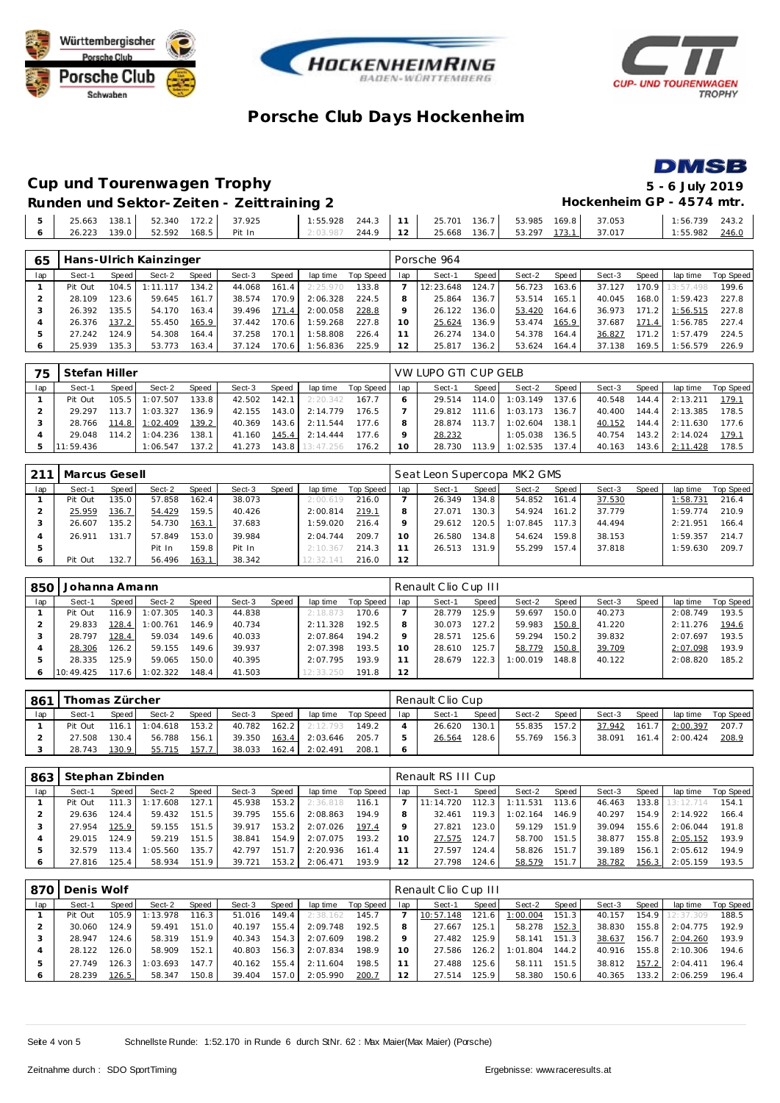







# **Cup und Tourenwagen Trophy 5 - 6 July 2019**

**Runden und Sektor-Zeiten - Zeittraining 2 Hockenheim GP - 4574 mtr.** 

| 25.663       | 138.1 |                     | 52.340 172.2 37.925 | 1:55.928 | 244.3 |                   | 25.701 | 136.7 53.985 169.8 | 37.053                           | 1:56.739         | 243.2 |
|--------------|-------|---------------------|---------------------|----------|-------|-------------------|--------|--------------------|----------------------------------|------------------|-------|
| 26.223 139.0 |       | 52.592 168.5 Pit In |                     | 2:03.987 | 244.9 | $\overline{12}$ 1 |        |                    | 25.668 136.7 53.297 173.1 37.017 | $1:55.982$ 246.0 |       |

| 65  |         |        | Hans-Ulrich Kainzinger |       |        |       |          |           |     | Porsche 964 |       |        |        |        |       |                 |           |
|-----|---------|--------|------------------------|-------|--------|-------|----------|-----------|-----|-------------|-------|--------|--------|--------|-------|-----------------|-----------|
| lap | Sect-1  | Speed  | Sect-2                 | Speed | Sect-3 | Speed | lap time | Top Speed | lap | Sect-1      | Speed | Sect-2 | Speed  | Sect-3 | Speed | lap time        | Top Speed |
|     | Pit Out | 104.5  | 1:11.117               | 134.2 | 44.068 | 161.4 | 2:25.970 | 133.8     |     | 12:23.648   | 124.7 | 56.723 | 163.6  | 37.127 |       | 170.9 13:57.498 | 199.6     |
|     | 28.109  | 123.6  | 59.645                 | 161.7 | 38.574 | 170.9 | 2:06.328 | 224.5     |     | 25.864      | 136.7 | 53.514 | 165.11 | 40.045 | 168.0 | 1:59.423        | 227.8     |
|     | 26.392  | 135.5  | 54.170                 | 163.4 | 39.496 | 171.4 | 2:00.058 | 228.8     | o   | 26.122      | 136.0 | 53.420 | 164.6  | 36.973 | 171.2 | 1:56.515        | 227.8     |
|     | 26.376  | 137.2  | 55.450                 | 165.9 | 37.442 | 170.6 | 1:59.268 | 227.8     |     | 25.624      | 136.9 | 53.474 | 165.9  | 37.687 | 171.4 | 1:56.785        | 227.4     |
|     | 27.242  | 124.9  | 54.308                 | 164.4 | 37.258 | 170.1 | 1:58.808 | 226.4     |     | 26.274      | 134.0 | 54.378 | 164.4  | 36.827 | 171.2 | 1:57.479        | 224.5     |
| Ô   | 25.939  | 135.31 | 53.773                 | 163.4 | 37.124 | 170.6 | 1:56.836 | 225.9     | 12  | 25.817      | 136.2 | 53.624 | 164.4  | 37.138 | 169.5 | 1:56.579        | 226.9     |

| 75  | Stefan Hiller |       |          |                    |        |         |           |           |     | VW LUPO GTI CUP GELB |       |          |       |        |       |          |           |
|-----|---------------|-------|----------|--------------------|--------|---------|-----------|-----------|-----|----------------------|-------|----------|-------|--------|-------|----------|-----------|
| lap | Sect-1        | Speed | Sect-2   | Speed              | Sect-3 | Speed   | lap time  | Top Speed | lap | Sect-1               | Speed | Sect-2   | Speed | Sect-3 | Speed | lap time | Top Speed |
|     | Pit Out       | 105.5 | 1:07.507 | 133.8              | 42.502 | 142.1   | 2:20.342  | 167.7     |     | 29.514               | 114.0 | 1:03.149 | 137.6 | 40.548 | 144.4 | 2:13.211 | 179.1     |
|     | 29.297        | 13.7  | 1:03.327 | 136.9              | 42.155 | 143.0   | 2:14.779  | 176.5     |     | 29.812               | 111.6 | 1:03.173 | 136.7 | 40.400 | 144.4 | 2:13.385 | 178.5     |
|     | 28.766        | 114.8 | 1:02.409 | 139.2              | 40.369 | 143.6   | 2:11.544  | 1776      |     | 28.874               | 113.7 | 1:02.604 | 138.1 | 40.152 | 144.4 | 2:11.630 | 177.6     |
|     | 29.048        | 114.2 | 1:04.236 | 138.1              | 41.160 | 145.4   | 2:14.444  | 177.6     |     | 28.232               |       | 1:05.038 | 136.5 | 40.754 | 143.2 | 2:14.024 | 179.7     |
|     | 11:59.436     |       | 1:06.547 | 137.2 <sub>1</sub> | 41.273 | $143.8$ | 13:47.256 | 176.2     | 10  | 28.730               | 113.9 | 1:02.535 | 137.4 | 40.163 | 143.6 | 2:11.428 | 178.5     |

| 211 | Marcus Gesell |       |        |       |        |       |           |           |     | Seat Leon Supercopa MK2 GMS |                    |          |       |        |       |          |           |
|-----|---------------|-------|--------|-------|--------|-------|-----------|-----------|-----|-----------------------------|--------------------|----------|-------|--------|-------|----------|-----------|
| lap | Sect-1        | Speed | Sect-2 | Speed | Sect-3 | Speed | lap time  | Top Speed | lap | Sect-1                      | Speed              | Sect-2   | Speed | Sect-3 | Speed | lap time | Top Speed |
|     | Pit Out       | 135.0 | 57.858 | 162.4 | 38.073 |       | 2:00.619  | 216.0     |     | 26.349                      | 134.81             | 54.852   | 161.4 | 37.530 |       | : 58.731 | 216.4     |
|     | 25.959        | 136.7 | 54.429 | 159.5 | 40.426 |       | 2:00.814  | 219.7     |     | 27.071                      | 130.3 <sub>1</sub> | 54.924   | 161.2 | 37.779 |       | :59.774  | 210.9     |
|     | 26.607        | 135.2 | 54.730 | 163.1 | 37.683 |       | 1:59.020  | 216.4     |     | 29.612                      | 120.5              | 1:07.845 | 117.3 | 44.494 |       | 2:21.951 | 166.4     |
|     | 26.911        | 131.7 | 57.849 | 153.0 | 39.984 |       | 2:04.744  | 209.7     | 10  | 26.580                      | 134.8              | 54.624   | 159.8 | 38.153 |       | :59.357  | 214.7     |
|     |               |       | Pit In | 159.8 | Pit In |       | 2:10.367  | 214.3     |     | 26.513                      | 131.9              | 55.299   | 157.4 | 37.818 |       | : 59.630 | 209.7     |
|     | Pit Out       | 132.7 | 56.496 | 163.1 | 38.342 |       | 12:32.141 | 216.0     | 12  |                             |                    |          |       |        |       |          |           |

| 850 | Johanna Amann |         |          |        |        |       |           |           |     | Renault Clio Cup III |         |          |       |        |       |          |           |
|-----|---------------|---------|----------|--------|--------|-------|-----------|-----------|-----|----------------------|---------|----------|-------|--------|-------|----------|-----------|
| lap | Sect-1        | Speed I | Sect-2   | Speed  | Sect-3 | Speed | lap time  | Top Speed | lap | Sect-1               | Speed I | Sect-2   | Speed | Sect-3 | Speed | lap time | Top Speed |
|     | Pit Out       | 116.9   | 1:07.305 | 140.3  | 44.838 |       | 2:18.873  | 170.6     |     | 28.779               | 125.9   | 59.697   | 150.0 | 40.273 |       | 2:08.749 | 193.5     |
|     | 29.833        | 128.4   | 1:00.761 | 146.9  | 40.734 |       | 2:11.328  | 192.5     |     | 30.073               | 127.2   | 59.983   | 150.8 | 41.220 |       | 2:11.276 | 194.6     |
|     | 28.797        | 128.4   | 59.034   | 149.6  | 40.033 |       | 2:07.864  | 194.2     |     | 28.571               | 125.6   | 59.294   | 150.2 | 39.832 |       | 2:07.697 | 193.5     |
|     | 28.306        | 126.2   | 59.155   | 149.6  | 39.937 |       | 2:07.398  | 193.5     | 10  | 28.610               | 125.7   | 58.779   | 150.8 | 39.709 |       | 2:07.098 | 193.9     |
|     | 28.335        | 125.91  | 59.065   | 150.01 | 40.395 |       | 2:07.795  | 193.9     |     | 28.679               | 122.3   | : 00.019 | 148.8 | 40.122 |       | 2:08.820 | 185.2     |
|     | 10:49.425     | 117.6   | 1:02.322 | 148.4  | 41.503 |       | 12:33.250 | 191.8     | 12  |                      |         |          |       |        |       |          |           |

| 861 | Thomas Zürcher |        |          |       |        |       |          |           |     | Renault Clio Cup |       |        |         |        |       |                  |           |
|-----|----------------|--------|----------|-------|--------|-------|----------|-----------|-----|------------------|-------|--------|---------|--------|-------|------------------|-----------|
| lap | Sect-1         | Speed  | Sect-2   | Speed | Sect-3 | Speed | lap time | Top Speed | lap | Sect-1           | Speed | Sect-2 | Speed i | Sect-3 | Speed | lap time         | Top Speed |
|     | Pit Out        | 116.1  | 1:04.618 | 153.2 | 40.782 | 162.2 | 2:12.793 | 149.2     |     | 26.620           | 130.1 | 55.835 | 157.2   | 37.942 | 161.7 | 2:00.397         | 207.7     |
|     | 27.508         | 130.41 | 56.788   | 156.1 | 39.350 | 163.4 | 2:03.646 | 205.7     |     | 26.564           | 128.6 | 55.769 | 156.3   | 38.091 |       | $161.4$ 2:00.424 | 208.9     |
|     | 28.743         | 130.91 | 55.715   | 157.7 | 38.033 | 162.4 | 2:02.491 | 208.1     |     |                  |       |        |         |        |       |                  |           |

| 863 | Stephan Zbinden |         |          |       |        |       |          |           |          | Renault RS III Cup |                    |          |       |        |       |                 |           |
|-----|-----------------|---------|----------|-------|--------|-------|----------|-----------|----------|--------------------|--------------------|----------|-------|--------|-------|-----------------|-----------|
| lap | Sect-1          | Speed I | Sect-2   | Speed | Sect-3 | Speed | lap time | Top Speed | lap      | Sect-1             | Speed              | Sect-2   | Speed | Sect-3 | Speed | lap time        | Top Speed |
|     | Pit Out         | 111.3   | 1:17.608 | 127.1 | 45.938 | 153.2 | 2:36.818 | 116.1     |          | 11:14.720          | 112.3 <sub>1</sub> | 1:11.531 | 113.6 | 46.463 |       | 133.8 13:12.714 | 154.1     |
|     | 29.636          | 124.4   | 59.432   | 151.5 | 39.795 | 155.6 | 2:08.863 | 194.9     | Զ        | 32.461             | 119.3 <sub>1</sub> | 1:02.164 | 146.9 | 40.297 | 154.9 | 2:14.922        | 166.4     |
|     | 27.954          | 125.9   | 59.155   | 151.5 | 39.917 | 153.2 | 2:07.026 | 197.4     |          | 27.821             | 123.0              | 59.129   | 151.9 | 39.094 | 155.6 | 2:06.044        | 191.8     |
|     | 29.015          | 124.9   | 59.219   | 151.5 | 38.841 | 154.9 | 2:07.075 | 193.2     | $10^{-}$ | 27.575             | 124.7              | 58.700   | 151.5 | 38.877 | 155.8 | 2:05.152        | 193.9     |
|     | 32.579          | 113.4   | 1:05.560 | 135.7 | 42.797 | 151.7 | 2:20.936 | 161.4     |          | 27.597             | 124.4              | 58.826   | 151.7 | 39.189 | 156.1 | 2:05.612        | 194.9     |
|     | 27.816          | 125.4   | 58.934   | 151.9 | 39.721 | 153.2 | 2:06.471 | 193.9     |          | 27.798             | 124.6              | 58.579   | 151.7 | 38.782 | 156.3 | 2:05.159        | 193.5     |

|         | 870   Denis Wolf |        |          |       |        |        |          |           |     | Renault Clio Cup III |       |          |       |        |       |           |           |
|---------|------------------|--------|----------|-------|--------|--------|----------|-----------|-----|----------------------|-------|----------|-------|--------|-------|-----------|-----------|
| lap     | Sect-1           | Speed  | Sect-2   | Speed | Sect-3 | Speed  | lap time | Top Speed | lap | Sect-1               | Speed | Sect-2   | Speed | Sect-3 | Speed | lap time  | Top Speed |
|         | Pit Out          | 105.9  | 1:13.978 | 116.3 | 51.016 | 149.4  | 2:38.162 | 145.7     |     | 10:57.148            | 121.6 | 1:00.004 | 151.3 | 40.157 | 154.9 | 12:37.309 | 188.5     |
|         | 30.060           | 124.91 | 59.491   | 151.0 | 40.197 | 155.41 | 2:09.748 | 192.5     |     | 27.667               | 125.1 | 58.278   | 152.3 | 38.830 | 155.8 | 2:04.775  | 192.9     |
|         | 28.947           | 124.6  | 58.319   | 151.9 | 40.343 | 154.3  | 2:07.609 | 198.2     |     | 27.482               | 125.9 | 58.141   | 151.3 | 38.637 | 156.7 | 2:04.260  | 193.9     |
| 4       | 28.122           | 126.0  | 58.909   | 152.1 | 40.803 | 156.3  | 2:07.834 | 198.9     | 10  | 27.586               | 126.2 | 1:01.804 | 144.2 | 40.916 | 155.8 | 2:10.306  | 194.6     |
|         | 27.749           | 126.3  | : 03.693 | 147.7 | 40.162 | 155.4  | 2:11.604 | 198.5     |     | 27.488               | 125.6 | 58.111   | 151.5 | 38.812 | 157.2 | 2:04.411  | 196.4     |
| $\circ$ | 28.239           | 126.5  | 58.347   | 150.8 | 39.404 | 157.0  | 2:05.990 | 200.7     |     | 27.514               | 125.9 | 58.380   | 150.6 | 40.365 | 133.2 | 2:06.259  | 196.4     |